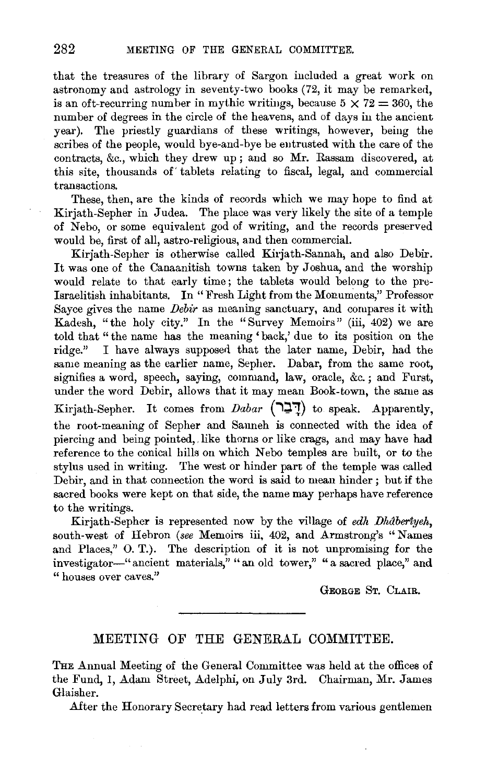that the treasures of the library of Sargon included a great work on astronomy and astrology in seventy-two books (72, it may be remarked, is an oft-recurring number in mythic writings, because  $5 \times 72 = 360$ , the number of degrees in the circle of the heavens, and of days iu the ancient year). The priestly guardians of these writings, however, being the scribes of the people, would bye-and-bye be entrusted with the care of the contracts, &c., which they drew up; and so Mr. Rassam discovered, at this site, thousands of' tablets relating to fiscal, legal, and commercial transactions.

These, then, are the kinds of records which we may hope to find at Kirjath-Sepher in Judea. The place was very likely the site of a temple of Nebo, or some equivalent god of writing, and the records preserved would be, first of all, astro-religious, and then commercial.

Kirjath-Sepher is otherwise called Kirjath-Sannah, and also Debir. It was one of the Canaanitish towns taken by Joshua, and the worship would relate to that early time ; the tablets would belong to the pre-Israelitish inhabitants. In "Fresh Light from the Monuments," Professor Sayce gives the name *Debir* as meaning sanctuary, and compares it with Kadesh, "the holy city." In the "Survey Memoirs" (iii, 402) we are told that "the name has the meaning 'back,' due to its position on the ridge." I have always supposed that the later name, Debir, had the same meaning as the earlier name, Sepher. Dabar, from the same root, signifies a word, speech, saying, command, law, oracle, &c.; and Furst, under the word Debir, allows that it may mean Book-town, the same as Kirjath-Sepher. It comes from *Dabar* ( $\overline{P}$ <sup>1</sup>) to speak. Apparently, the root-meaning of Sepher and Sanneh is connected with the idea of piercing and being pointed,, like thorns or like crags, and may have had reference to the conical hills on which Nebo temples are built, or to the stylus used in writing. The west or hinder part of the temple was called Debir, and in that connection the word is said to mean hinder; but if the sacred books were kept on that side, the name may perhaps have reference to the writings.

Kirjath-Sepher is represented now by the village of *edh Dhâberiyeh*, south-west of Hebron *(see* Memoirs iii, 402, and Armstrong's "Names and Places," 0. T.). The description of it is not unpromising for the investigator-" ancient materials," "an old tower," "a sacred place," and " houses over caves."

GEORGE ST. CLAIR.

## MEETING OF THE GENERAL COMMITTEE.

THE Annual Meeting of the General Committee was held at the offices of the Fund, I, Adam Street, Adelphi, on July 3rd. Chairman, Mr. James Glaisher.

After the Honorary Secretary had read letters from various gentlemen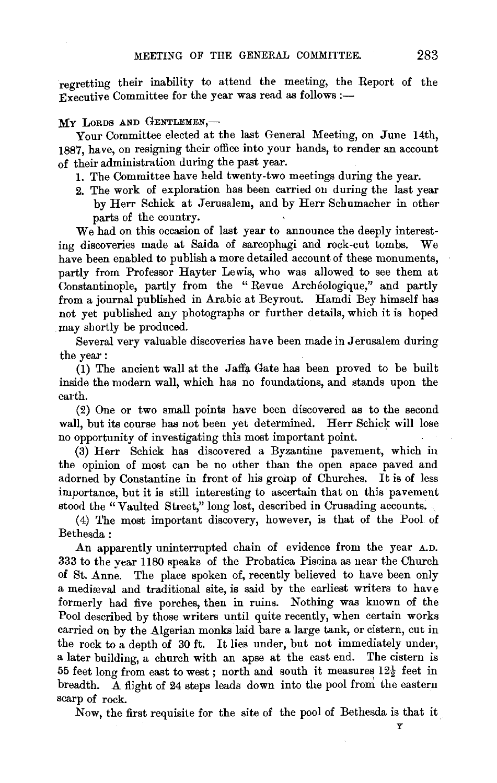regretting their inability to attend the meeting, the Report of the  $\widetilde{f}_{\text{Execute}}$  Committee for the year was read as follows :-

## MY LORDS AND GENTLEMEN,-

Your Committee elected at the last General Meeting, on June 14th, 1887, have, on resigning their office into your hands, to render an account  $\overline{\text{of}}$  their administration during the past year.

- 1. The Committee have held twenty-two meetings during the year.
- 2. The work of exploration has been carried on during the last year by Herr Schick at Jerusalem, and by Herr Schumacher in other parts of the country.

We had on this occasion of last year to announce the deeply interesting discoveries made at Saida of sarcophagi and rock-cut tombs. We have been enabled to publish a more detailed account of these monuments, partly from Professor Hayter Lewis, who was allowed to see them at Constantinople, partly from the " Revue Archeologique," and partly from a journal published in Arabic at Beyrout. Hamdi Bey himself has not yet published any photographs or further details, which it is hoped may shortly be produced.

Several very valuable discoveries have been made in Jerusalem during the year:

(1) The ancient wall at the Jaffa Gate has been proved to be built inside the modern wall, which has no foundations, and stands upon the earth.

(2) One or two small points have been discovered as to the second wall, but its course has not been yet determined. Herr Schick will lose no opportunity of investigating this most important point.

(3) Herr Schick has discovered a Byzantine pavement, which in the opinion of most can be no other than the open space paved and adorned by Constantine in front of his gronp of Churches. It is of less importance, but it is still interesting to ascertain that on this pavement stood the "Vaulted Street," long lost, described in Crusading accounts.

( 4) The most important discovery, however, is that of the Pool of Bethesda:

An apparently uninterrupted chain of evidence from the year A.D. 333 to the year 1180 speaks of the Probatica Piscina as near the Church of St. Anne. The place spoken of, recently believed to have been only a mediaval and traditional site, is said by the earliest writers to have formerly had five porches, then in ruins. Nothing was known of the Pool described by those writers until quite recently, when certain works carried on by the Algerian monks laid bare a large tank, or cistern, cut in the rock to a depth of 30 ft. It lies under, but not immediately under, a later building, a church with an apse at the east end. The cistern is 55 feet long from east to west; north and south it measures  $12\frac{1}{2}$  feet in breadth. A flight of 24 steps leads down into the pool from the eastern scarp of rock.

Now, the first requisite for the site of the pool of Bethesda is that it

y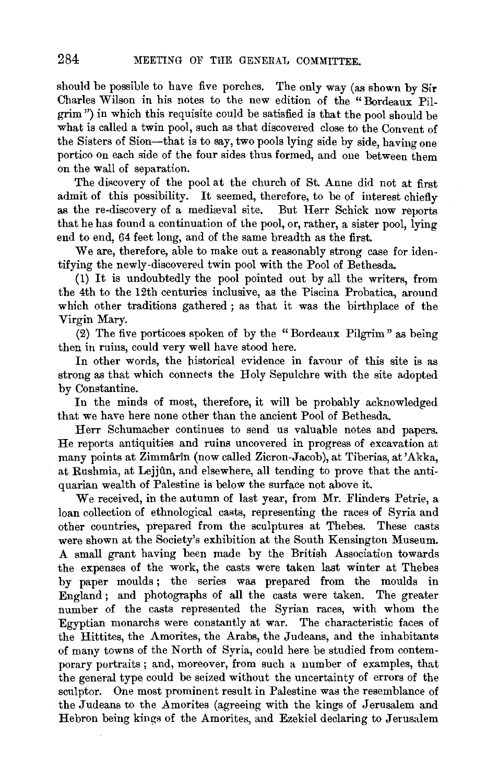should be possible to have five porches. The only way (as shown by Sir Charles Wilson in his notes to the new edition of the "Bordeaux Pilgrim") in which this requisite could be satisfied is that the pool should be what is called a twin pool, such as that discovered close to the Convent of the Sisters of Sion-that is to say, two pools lying side by side, having one portico on each side of the four sides thus formed, and one between them on the wall of separation.

The discovery of the pool at the church of St. Anne did not at first admit of this possibility. It seemed, therefore, to be of interest chiefly as the re-discovery of a mediæval site. But Herr Schick now reports that he has found a continuation of the pool, or, rather, a sister pool, lying end to end, 64 feet long, and of the same breadth as the first.

We are, therefore, able to make out a reasonably strong case for identifying the newly-discovered twin pool with the Pool of Bethesda.

(1) It is undoubtedly the pool pointed out by all the writers, from the 4th to the 12th centuries inclusive, as the Piscina Probatica, around which other traditions gathered ; as that it was the birthplace of the Virgin Mary.

(2) The five porticoes spoken of by the "Bordeaux Pilgrim" as being then in ruins, could very well have stood here.

In other words, the historical evidence in favour of this site is as strong as that which connects the Holy Sepulchre with the site adopted by Constantine.

In the minds of most, therefore, it will be probably acknowledged that we have here none other than the ancient Pool of Bethesda.

Herr Schumacher continues to send us valuable notes and papers. He reports antiquities and ruins uncovered in progress of excavation at many points at Zimmârîn (now called Zicron-Jacob), at Tiberias, at 'Akka, at Rushmia, at Lejjûn, and elsewhere, all tending to prove that the antiquarian wealth of Palestine is below the surface not above it.

We received, in the autumn of last year, from Mr. Flinders Petrie, a loan collection of ethnological casts, representing the races of Syria and other countries, prepared from the sculptures at Thebes. These casts were shown at the Society's exhibition at the South Kensington Museum. A small grant having been made by the British Association towards the expenses of the work, the casts were taken last winter at Thebes by paper moulds; the series was prepared from the moulds in England ; and photographs of all the casts were taken. The greater number of the casts represented the Syrian races, with whom the Egyptian monarchs were constantly at war. The characteristic faces of the Hittites, the Amorites, the Arabs, the Judeans, and the inhabitants of many towns of the North of Syria, could here be studied from contemporary portraits; and, moreover, from such a number of examples, that the general type could be seized without the uncertainty of errors of the sculptor. One most prominent result in Palestine was the resemblance of the Judeans to the Amorites (agreeing with the kings of Jerusalem and Hebron being kings of the Amorites, and Ezekiel declaring to Jerusalem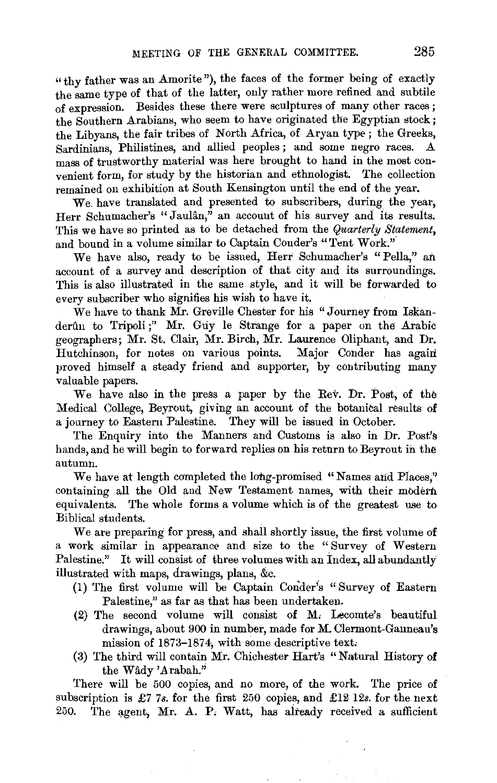"thy father was an Amorite"), the faces of the former being of exactly the same type of that of the latter, only rather more refined and subtile of expression. Besides these there were sculptures of many other races ; the Southern Arabians, who seem to have originated the Egyptian stock; the Libyans, the fair tribes of North Africa, of Aryan type ; the Greeks, Sardinians, Philistines, and allied peoples; and some negro races. mass of trustworthy material was here brought to hand in the most convenient form, for study by the historian and ethnologist. The collection remained on exhibition at South Kensington until the end of the year.

We have translated and presented to subscribers, during the year, Herr Schumacher's "Jaulân," an account of his survey and its results. This we have so printed as to be detached from the *Quarterly Statement,*  and bound in a volume similar to Captain Couder's "Tent Work.'"

We have also, ready to be issued, Herr Schumacher's "Pella," an account of a survey and description of that city and its surroundings. This is also illustrated in the same style, and it will be forwarded to every subscriber who signifies his wish to have it.

We have to thank Mr. Greville Chester for his "Journey from Iskanderûn to Tripoli;" Mr. Guy le Strange for a paper on the Arabic geographers; Mr. St. Clair, Mr. Birch, Mr. Laurence Oliphant, and Dr. Hutchinson, for notes on various points. Major Conder has again proved himself a steady friend and supporter, by contributing many valuable papers.

We have also in the press a paper by the Rev. Dr. Post, of the Medical College, Beyrout, giving an account of the botanical results of a journey to Eastern Palestine. They will be issued in October.

The Enquiry into the Manners and Customs is also in Dr. Post's hands, and he will begin to forward replies on his return to Beyrout in the autumn.

We have at length completed the long-promised "Names and Places," containing all the Old and New Testament names, with their modern equivalents. The whole forms a volume which is of the greatest use to Biblical students.

We are preparing for press, and shall shortly issue, the first volume of a work similar in appearance and size to the " Survey of Western Palestine." It will consist of three volumes with an Index, all abundantly illustrated with maps, drawings, plans, &c.

- (1) The first volume will be Captain Conder's "Survey of Eastern Palestine,'' as far as that has been undertaken.
- (2) The second volume will consist of M, Lecomte's beautiful drawings, about 900 in number, made for M. Clermont-Ganneau's mission of 1873-1874, with some descriptive text.
- (3) The third will contain Mr. Chichester Hart's "Natural History of the Wady 'Arabah."

There will be 500 copies, and no more, of the work. The price of subscription is £7 *7s.* for the first 250 copies, and £12 12s. for the next 250. The agent, Mr. A. P. Watt, has already received a sufficient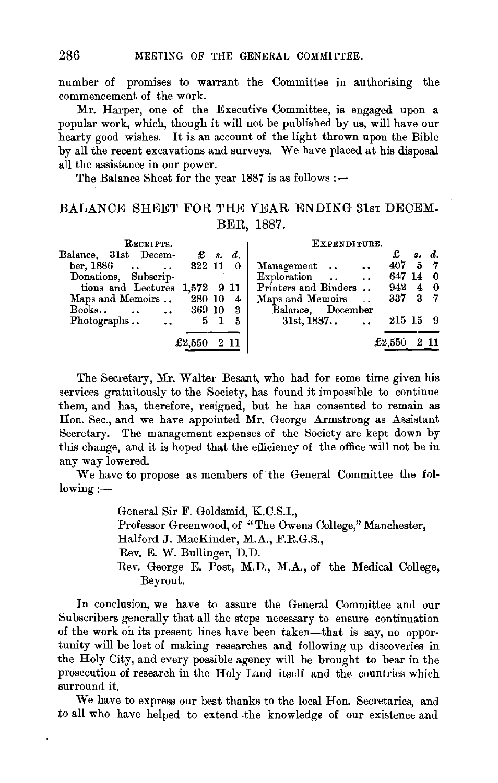number of promises to warrant the Committee in authorising the commencement of the work.

Mr. Harper, one of the Executive Committee, is engaged upon a popular work, which, though it will not be published by us, will have our hearty good wishes. It is an account of the light thrown upon the Bible by all the recent excavations and surveys. We have placed at his disposal all the assistance in our power.

The Balance Sheet for the year 1887 is as follows :--

## BALANCE SHEET FOR THE YEAR ENDING 31st DECEM-BER, 1887.

| RECRIPTS.                            |                     | EXPENDITURE.                      |
|--------------------------------------|---------------------|-----------------------------------|
| Balance, 31st Decem-                 | $\mathbf{E}$ s. d.  | d.<br>S.                          |
| ber, 1886 322 11 0                   |                     | $407$ 5 7<br>Management           |
| Donations, Subscrip-                 |                     | 647 14 0<br>Exploration  .        |
| tions and Lectures 1,572 9 11        |                     | Printers and Binders<br>942<br>40 |
| Maps and Memoirs . 280 10            | $4^{\circ}$         | 337 3 7<br>Maps and Memoirs       |
| Books<br>$\cdots$ $\cdots$ $369\ 10$ | 3                   | Balance, December                 |
| Photographs                          | 5<br>5 <sub>1</sub> | 215 15 9<br>$31st, 1887$ .        |
|                                      |                     |                                   |
|                                      | £2,550<br>$2\;11$   | £2,550<br>2 11                    |

The Secretary, Mr. Walter Besant, who had for some time given his services gratuitously to the Society, has found it impossible to continue them, and has, therefore, resigned, but he has consented to remain as Hon. Sec., and we have appointed Mr. George Armstrong as Assistant Secretary. The management expenses of the Society are kept down by this change, and it is hoped that the efficiency of the office will not be in any way lowered.

We have to propose as members of the General Committee the fol $low$ ing: $-$ 

> General Sir F. Goldsmid, K.C.S.I., Professor Greenwood, of "The Owens College," Manchester, Halford J. MacKinder, M.A., F.R.G.S., Rev. E. W. Bullinger, D.D. Rev. George E. Post, M.D., M.A., of the Medical College, Beyrout.

In conclusion, we have to assure the General Committee and our Subscribers generally that all the steps necessary to ensure continuation of the work on its present lines have been taken-that is say, no opportunity will be lost of making researches and following up discoveries in the Holy City, and every possible agency will be brought to bear in the prosecution of research in the Holy Laud itself and the countries which surround it.

We have to express our best thanks to the local Hon. Secretaries, and to all who have helped to extend -the knowledge of our existence and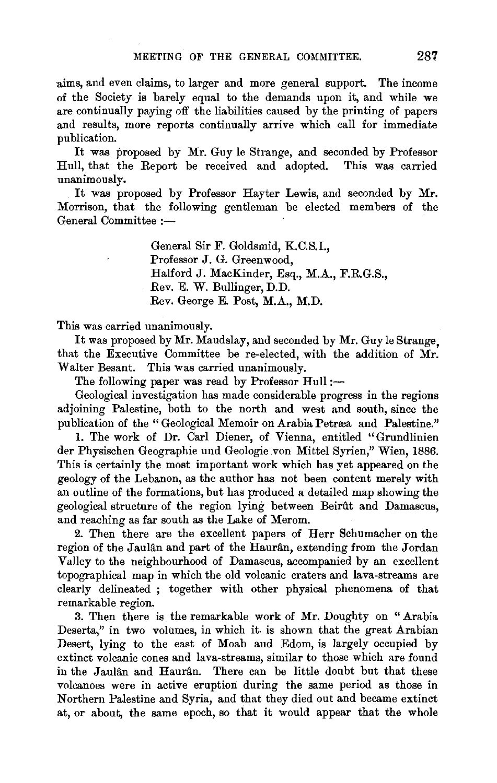aims, and even claims, to larger and more general support. The income of the Society is barely equal to the demands upon it, and while we are continually paying off the liabilities caused by the printing of papers and results, more reports continually arrive which call for immediate publication.

It was proposed by Mr. Guy le Strange, and seconded by Professor Hull, that the Report be received and adopted. unanimously.

It was proposed by Professor Hayter Lewis, and seconded by Mr. Morrison, that the following gentleman be elected members of the General Committee :-

> General Sir F. Goldsmid, K.C.S.I., Professor J. G. Greenwood, Halford J. MacKinder, Esq., M.A., F.R.G.S., Rev. E. W. Bullinger, D.D. Rev. George E. Post, M.A., M.D.

This was carried unanimously.

It was proposed by Mr. Maudslay, and seconded by Mr. Guy le Strange, that the Executive Committee be re-elected, with the addition of Mr. Walter Besant. This was carried unanimously.

The following paper was read by Professor Hull :-

Geological investigation has made considerable progress in the regions adjoining Palestine, both to the north and west and south, since the publication of the "Geological Memoir on Arabia Petræa and Palestine."

1. The work of Dr. Carl Diener, of Vienna, entitled "Grundlinien der Physischen Geographie und Geologie von Mittel Syrien,'' Wien, 1886. This is certainly the most important work which has yet appeared on the geology of the Lebanon, as the author has not been content merely with an outline of the formations, but has produced a detailed map showing the geological structure of the region lying between Beirftt and Damascus, and reaching as far south as the Lake of Merom.

2. Then there are the excellent papers of Herr Schumacher on the region of the Jaulân and part of the Haurân, extending from the Jordan Valley to the neighbourhood of Damascus, accompanied by an excellent topographical map in which the old volcanic craters and lava-streams are clearly delineated ; together with other physical phenomena of that remarkable region.

3. Then there is the remarkable work of Mr. Doughty on "Arabia Deserta," in two volumes, in which it is shown that the great Arabian Desert, lying to the east of Moab and Edom, is largely occupied by extinct volcanic cones and lava-streams, similar to those which are found in the Jaulân and Haurân. There can be little doubt but that these volcanoes were in active eruption during the same period as those in Northern Palestine and Syria, and that they died out and became extinct at, or about, the same epoch, so that it would appear that the whole